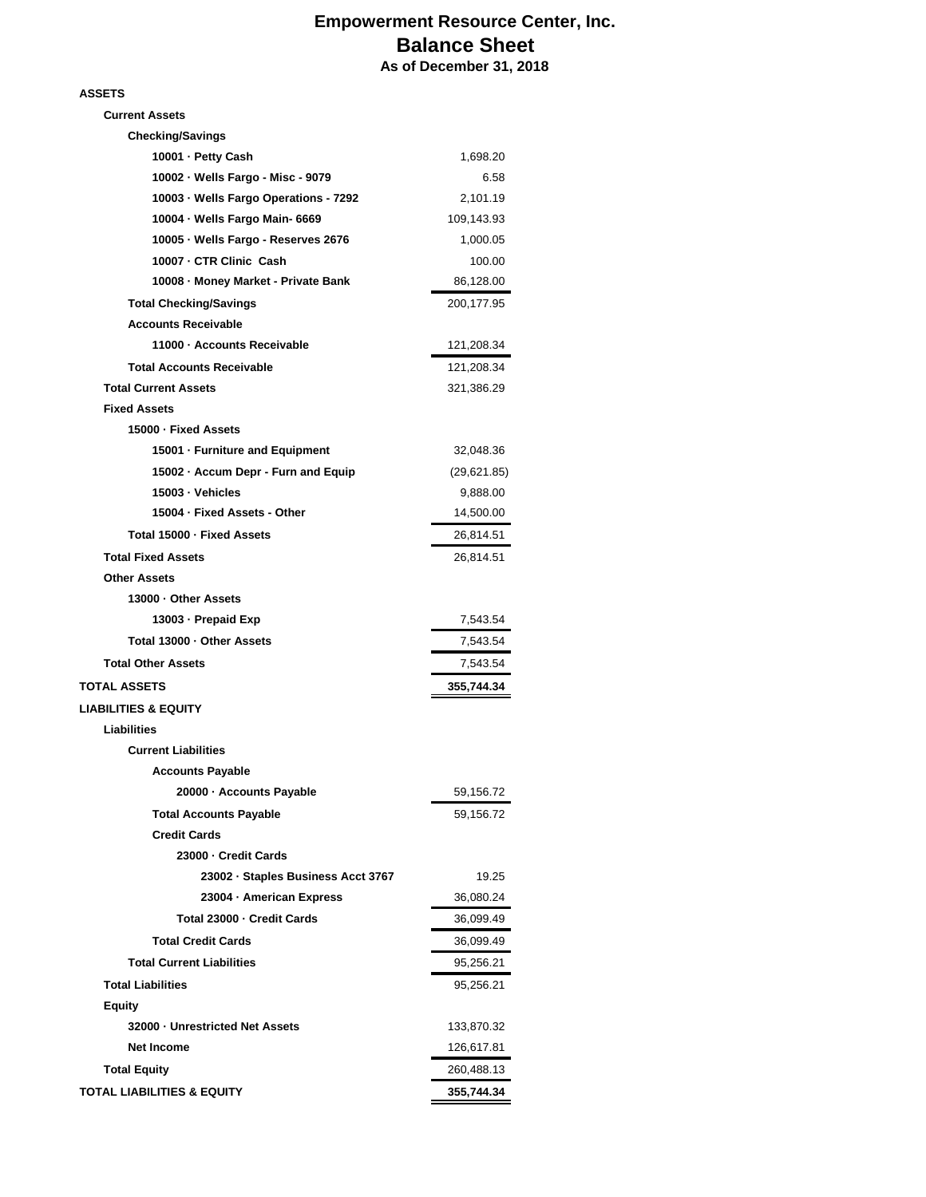## **Empowerment Resource Center, Inc. Balance Sheet As of December 31, 2018**

## **ASSETS**

| <b>Current Assets</b>                 |             |
|---------------------------------------|-------------|
| <b>Checking/Savings</b>               |             |
| 10001 - Petty Cash                    | 1,698.20    |
| 10002 · Wells Fargo - Misc - 9079     | 6.58        |
| 10003 · Wells Fargo Operations - 7292 | 2,101.19    |
| 10004 - Wells Fargo Main- 6669        | 109,143.93  |
| 10005 · Wells Fargo - Reserves 2676   | 1,000.05    |
| 10007 - CTR Clinic Cash               | 100.00      |
| 10008 - Money Market - Private Bank   | 86,128.00   |
| <b>Total Checking/Savings</b>         | 200,177.95  |
| <b>Accounts Receivable</b>            |             |
| 11000 - Accounts Receivable           | 121,208.34  |
| <b>Total Accounts Receivable</b>      | 121,208.34  |
| <b>Total Current Assets</b>           | 321,386.29  |
| <b>Fixed Assets</b>                   |             |
| 15000 - Fixed Assets                  |             |
| 15001 - Furniture and Equipment       | 32,048.36   |
| 15002 - Accum Depr - Furn and Equip   | (29,621.85) |
| 15003 - Vehicles                      | 9,888.00    |
| 15004 · Fixed Assets - Other          | 14,500.00   |
| Total 15000 - Fixed Assets            | 26,814.51   |
| <b>Total Fixed Assets</b>             | 26,814.51   |
| <b>Other Assets</b>                   |             |
| 13000 - Other Assets                  |             |
| 13003 - Prepaid Exp                   | 7,543.54    |
| Total 13000 · Other Assets            | 7,543.54    |
| <b>Total Other Assets</b>             | 7,543.54    |
| TOTAL ASSETS                          | 355,744.34  |
| <b>LIABILITIES &amp; EQUITY</b>       |             |
| Liabilities                           |             |
| <b>Current Liabilities</b>            |             |
| <b>Accounts Payable</b>               |             |
| 20000 · Accounts Payable              | 59,156.72   |
| <b>Total Accounts Payable</b>         | 59,156.72   |
| <b>Credit Cards</b>                   |             |
| 23000 - Credit Cards                  |             |
| 23002 · Staples Business Acct 3767    | 19.25       |
| 23004 - American Express              | 36,080.24   |
| Total 23000 - Credit Cards            | 36,099.49   |
| <b>Total Credit Cards</b>             | 36,099.49   |
| <b>Total Current Liabilities</b>      | 95,256.21   |
| <b>Total Liabilities</b>              | 95,256.21   |
| Equity                                |             |
| 32000 - Unrestricted Net Assets       | 133,870.32  |
| <b>Net Income</b>                     | 126,617.81  |
| <b>Total Equity</b>                   | 260,488.13  |
| <b>TOTAL LIABILITIES &amp; EQUITY</b> | 355,744.34  |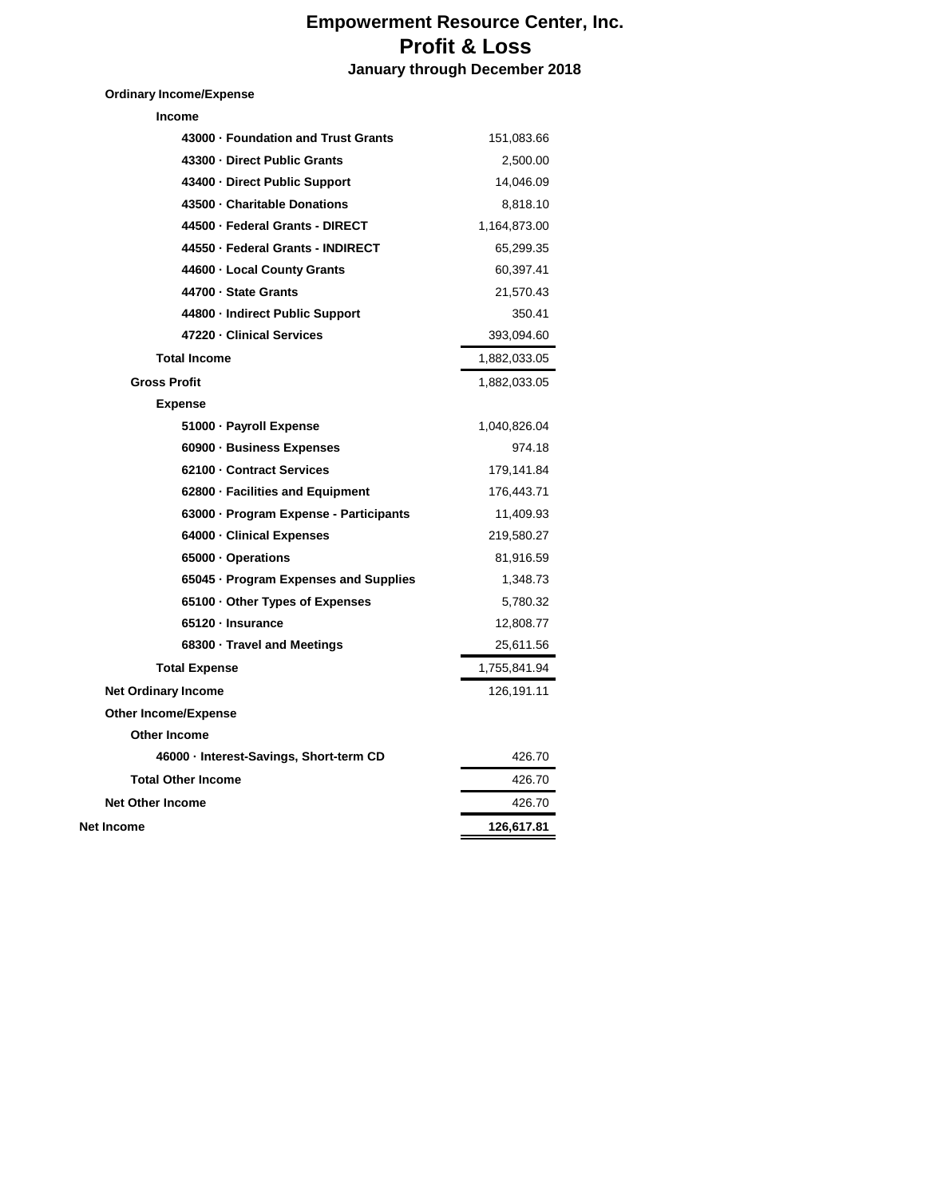## **Empowerment Resource Center, Inc. Profit & Loss January through December 2018**

**Ordinary Income/Expense**

| Income                                  |              |
|-----------------------------------------|--------------|
| 43000 - Foundation and Trust Grants     | 151,083.66   |
| 43300 - Direct Public Grants            | 2,500.00     |
| 43400 - Direct Public Support           | 14,046.09    |
| 43500 · Charitable Donations            | 8,818.10     |
| 44500 - Federal Grants - DIRECT         | 1,164,873.00 |
| 44550 - Federal Grants - INDIRECT       | 65,299.35    |
| 44600 - Local County Grants             | 60,397.41    |
| 44700 · State Grants                    | 21,570.43    |
| 44800 - Indirect Public Support         | 350.41       |
| 47220 - Clinical Services               | 393,094.60   |
| <b>Total Income</b>                     | 1,882,033.05 |
| <b>Gross Profit</b>                     | 1,882,033.05 |
| <b>Expense</b>                          |              |
| 51000 · Payroll Expense                 | 1,040,826.04 |
| 60900 - Business Expenses               | 974.18       |
| 62100 - Contract Services               | 179,141.84   |
| 62800 · Facilities and Equipment        | 176,443.71   |
| 63000 · Program Expense - Participants  | 11,409.93    |
| 64000 · Clinical Expenses               | 219,580.27   |
| 65000 · Operations                      | 81,916.59    |
| 65045 · Program Expenses and Supplies   | 1,348.73     |
| 65100 Other Types of Expenses           | 5,780.32     |
| 65120 · Insurance                       | 12,808.77    |
| 68300 · Travel and Meetings             | 25,611.56    |
| <b>Total Expense</b>                    | 1,755,841.94 |
| <b>Net Ordinary Income</b>              | 126,191.11   |
| <b>Other Income/Expense</b>             |              |
| <b>Other Income</b>                     |              |
| 46000 · Interest-Savings, Short-term CD | 426.70       |
| <b>Total Other Income</b>               | 426.70       |
| <b>Net Other Income</b>                 | 426.70       |
| Net Income                              | 126,617.81   |